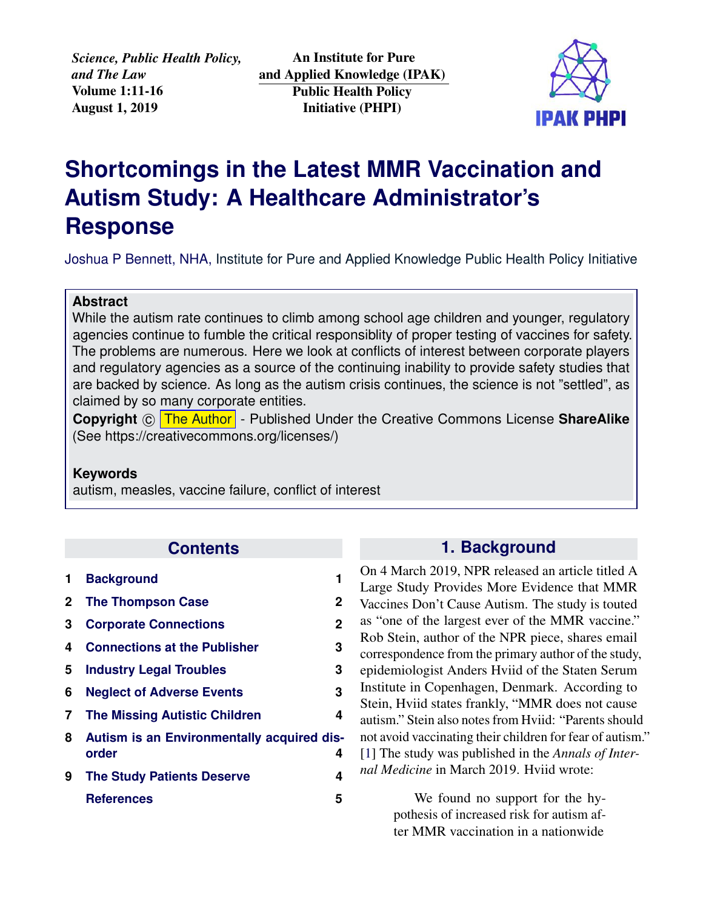*Science, Public Health Policy, and The Law* Volume 1:11-16 August 1, 2019

An Institute for Pure and Applied Knowledge (IPAK) Public Health Policy Initiative (PHPI)



# **Shortcomings in the Latest MMR Vaccination and Autism Study: A Healthcare Administrator's Response**

Joshua P Bennett, NHA, [Institute for Pure and Applied Knowledge Public Health Policy Initiative](https://jameslyonsweiler.com/ )

#### **Abstract**

While the autism rate continues to climb among school age children and younger, regulatory agencies continue to fumble the critical responsiblity of proper testing of vaccines for safety. The problems are numerous. Here we look at conflicts of interest between corporate players and regulatory agencies as a source of the continuing inability to provide safety studies that are backed by science. As long as the autism crisis continues, the science is not "settled", as claimed by so many corporate entities.

**Copyright** © [The Author]( https://ipaknowledge.org ) - Published Under the Creative Commons License ShareAlike (See https://creativecommons.org/licenses/)

#### **Keywords**

autism, measles, vaccine failure, conflict of interest

## **Contents**

<span id="page-0-0"></span>

| 1.           | <b>Background</b>                                   | 1            |
|--------------|-----------------------------------------------------|--------------|
| $\mathbf{2}$ | <b>The Thompson Case</b>                            | 2            |
| 3            | <b>Corporate Connections</b>                        | $\mathbf{2}$ |
| 4            | <b>Connections at the Publisher</b>                 | 3            |
| 5            | <b>Industry Legal Troubles</b>                      | 3            |
| 6            | <b>Neglect of Adverse Events</b>                    | 3            |
| 7            | <b>The Missing Autistic Children</b>                | 4            |
| 8            | Autism is an Environmentally acquired dis-<br>order | 4            |
| 9            | <b>The Study Patients Deserve</b>                   | 4            |
|              | <b>References</b>                                   | 5            |
|              |                                                     |              |

## **1. Background**

On 4 March 2019, NPR released an article titled A Large Study Provides More Evidence that MMR Vaccines Don't Cause Autism. The study is touted as "one of the largest ever of the MMR vaccine." Rob Stein, author of the NPR piece, shares email correspondence from the primary author of the study, epidemiologist Anders Hviid of the Staten Serum Institute in Copenhagen, Denmark. According to Stein, Hviid states frankly, "MMR does not cause autism." Stein also notes from Hviid: "Parents should not avoid vaccinating their children for fear of autism." [\[1\]](#page-4-0) The study was published in the *Annals of Internal Medicine* in March 2019. Hviid wrote:

> We found no support for the hypothesis of increased risk for autism after MMR vaccination in a nationwide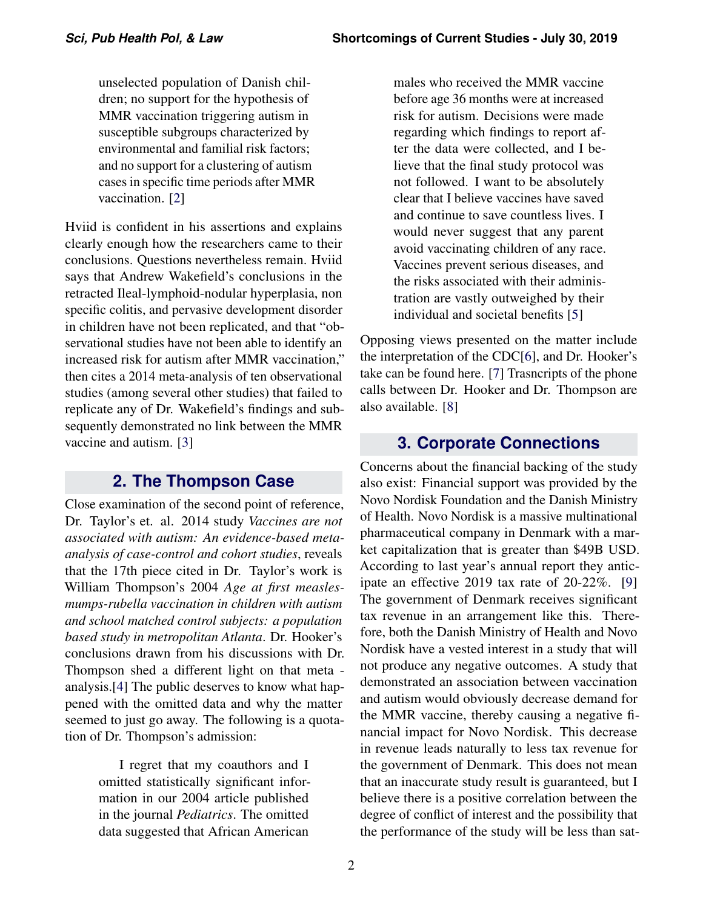unselected population of Danish children; no support for the hypothesis of MMR vaccination triggering autism in susceptible subgroups characterized by environmental and familial risk factors; and no support for a clustering of autism cases in specific time periods after MMR vaccination. [\[2\]](#page-4-1)

Hviid is confident in his assertions and explains clearly enough how the researchers came to their conclusions. Questions nevertheless remain. Hviid says that Andrew Wakefield's conclusions in the retracted Ileal-lymphoid-nodular hyperplasia, non specific colitis, and pervasive development disorder in children have not been replicated, and that "observational studies have not been able to identify an increased risk for autism after MMR vaccination," then cites a 2014 meta-analysis of ten observational studies (among several other studies) that failed to replicate any of Dr. Wakefield's findings and subsequently demonstrated no link between the MMR vaccine and autism. [\[3\]](#page-4-2)

## **2. The Thompson Case**

<span id="page-1-0"></span>Close examination of the second point of reference, Dr. Taylor's et. al. 2014 study *Vaccines are not associated with autism: An evidence-based metaanalysis of case-control and cohort studies*, reveals that the 17th piece cited in Dr. Taylor's work is William Thompson's 2004 *Age at first measlesmumps-rubella vaccination in children with autism and school matched control subjects: a population based study in metropolitan Atlanta*. Dr. Hooker's conclusions drawn from his discussions with Dr. Thompson shed a different light on that meta analysis.[\[4\]](#page-4-3) The public deserves to know what happened with the omitted data and why the matter seemed to just go away. The following is a quotation of Dr. Thompson's admission:

> I regret that my coauthors and I omitted statistically significant information in our 2004 article published in the journal *Pediatrics*. The omitted data suggested that African American

males who received the MMR vaccine before age 36 months were at increased risk for autism. Decisions were made regarding which findings to report after the data were collected, and I believe that the final study protocol was not followed. I want to be absolutely clear that I believe vaccines have saved and continue to save countless lives. I would never suggest that any parent avoid vaccinating children of any race. Vaccines prevent serious diseases, and the risks associated with their administration are vastly outweighed by their individual and societal benefits [\[5\]](#page-4-4)

Opposing views presented on the matter include the interpretation of the CDC[\[6\]](#page-4-5), and Dr. Hooker's take can be found here. [\[7\]](#page-4-6) Trasncripts of the phone calls between Dr. Hooker and Dr. Thompson are also available. [\[8\]](#page-4-7)

## **3. Corporate Connections**

<span id="page-1-1"></span>Concerns about the financial backing of the study also exist: Financial support was provided by the Novo Nordisk Foundation and the Danish Ministry of Health. Novo Nordisk is a massive multinational pharmaceutical company in Denmark with a market capitalization that is greater than \$49B USD. According to last year's annual report they anticipate an effective 2019 tax rate of 20-22%. [\[9\]](#page-4-8) The government of Denmark receives significant tax revenue in an arrangement like this. Therefore, both the Danish Ministry of Health and Novo Nordisk have a vested interest in a study that will not produce any negative outcomes. A study that demonstrated an association between vaccination and autism would obviously decrease demand for the MMR vaccine, thereby causing a negative financial impact for Novo Nordisk. This decrease in revenue leads naturally to less tax revenue for the government of Denmark. This does not mean that an inaccurate study result is guaranteed, but I believe there is a positive correlation between the degree of conflict of interest and the possibility that the performance of the study will be less than sat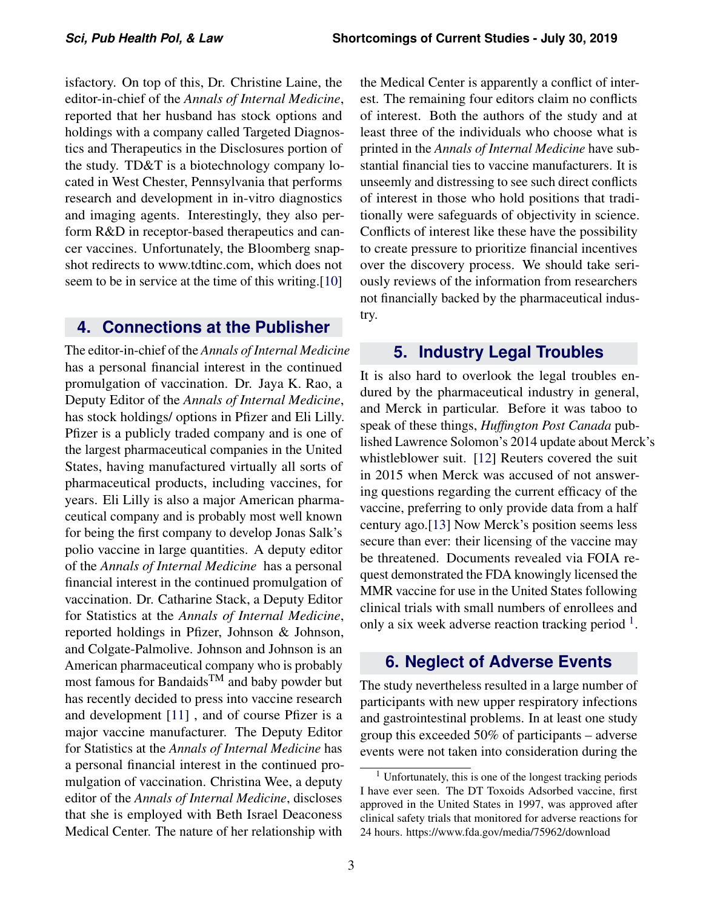isfactory. On top of this, Dr. Christine Laine, the editor-in-chief of the *Annals of Internal Medicine*, reported that her husband has stock options and holdings with a company called Targeted Diagnostics and Therapeutics in the Disclosures portion of the study. TD&T is a biotechnology company located in West Chester, Pennsylvania that performs research and development in in-vitro diagnostics and imaging agents. Interestingly, they also perform R&D in receptor-based therapeutics and cancer vaccines. Unfortunately, the Bloomberg snapshot redirects to www.tdtinc.com, which does not seem to be in service at the time of this writing.[\[10\]](#page-4-9)

#### <span id="page-2-0"></span>**4. Connections at the Publisher**

The editor-in-chief of the *Annals of Internal Medicine* has a personal financial interest in the continued promulgation of vaccination. Dr. Jaya K. Rao, a Deputy Editor of the *Annals of Internal Medicine*, has stock holdings/ options in Pfizer and Eli Lilly. Pfizer is a publicly traded company and is one of the largest pharmaceutical companies in the United States, having manufactured virtually all sorts of pharmaceutical products, including vaccines, for years. Eli Lilly is also a major American pharmaceutical company and is probably most well known for being the first company to develop Jonas Salk's polio vaccine in large quantities. A deputy editor of the *Annals of Internal Medicine* has a personal financial interest in the continued promulgation of vaccination. Dr. Catharine Stack, a Deputy Editor for Statistics at the *Annals of Internal Medicine*, reported holdings in Pfizer, Johnson & Johnson, and Colgate-Palmolive. Johnson and Johnson is an American pharmaceutical company who is probably most famous for BandaidsTM and baby powder but has recently decided to press into vaccine research and development [\[11\]](#page-4-10) , and of course Pfizer is a major vaccine manufacturer. The Deputy Editor for Statistics at the *Annals of Internal Medicine* has a personal financial interest in the continued promulgation of vaccination. Christina Wee, a deputy editor of the *Annals of Internal Medicine*, discloses that she is employed with Beth Israel Deaconess Medical Center. The nature of her relationship with

the Medical Center is apparently a conflict of interest. The remaining four editors claim no conflicts of interest. Both the authors of the study and at least three of the individuals who choose what is printed in the *Annals of Internal Medicine* have substantial financial ties to vaccine manufacturers. It is unseemly and distressing to see such direct conflicts of interest in those who hold positions that traditionally were safeguards of objectivity in science. Conflicts of interest like these have the possibility to create pressure to prioritize financial incentives over the discovery process. We should take seriously reviews of the information from researchers not financially backed by the pharmaceutical industry.

#### <span id="page-2-1"></span>**5. Industry Legal Troubles**

It is also hard to overlook the legal troubles endured by the pharmaceutical industry in general, and Merck in particular. Before it was taboo to speak of these things, *Huffington Post Canada* published Lawrence Solomon's 2014 update about Merck's whistleblower suit. [\[12\]](#page-5-0) Reuters covered the suit in 2015 when Merck was accused of not answering questions regarding the current efficacy of the vaccine, preferring to only provide data from a half century ago.[\[13\]](#page-5-1) Now Merck's position seems less secure than ever: their licensing of the vaccine may be threatened. Documents revealed via FOIA request demonstrated the FDA knowingly licensed the MMR vaccine for use in the United States following clinical trials with small numbers of enrollees and only a six week adverse reaction tracking period  $<sup>1</sup>$  $<sup>1</sup>$  $<sup>1</sup>$ .</sup>

### <span id="page-2-2"></span>**6. Neglect of Adverse Events**

The study nevertheless resulted in a large number of participants with new upper respiratory infections and gastrointestinal problems. In at least one study group this exceeded 50% of participants – adverse events were not taken into consideration during the

<span id="page-2-3"></span><sup>&</sup>lt;sup>1</sup> Unfortunately, this is one of the longest tracking periods I have ever seen. The DT Toxoids Adsorbed vaccine, first approved in the United States in 1997, was approved after clinical safety trials that monitored for adverse reactions for 24 hours. https://www.fda.gov/media/75962/download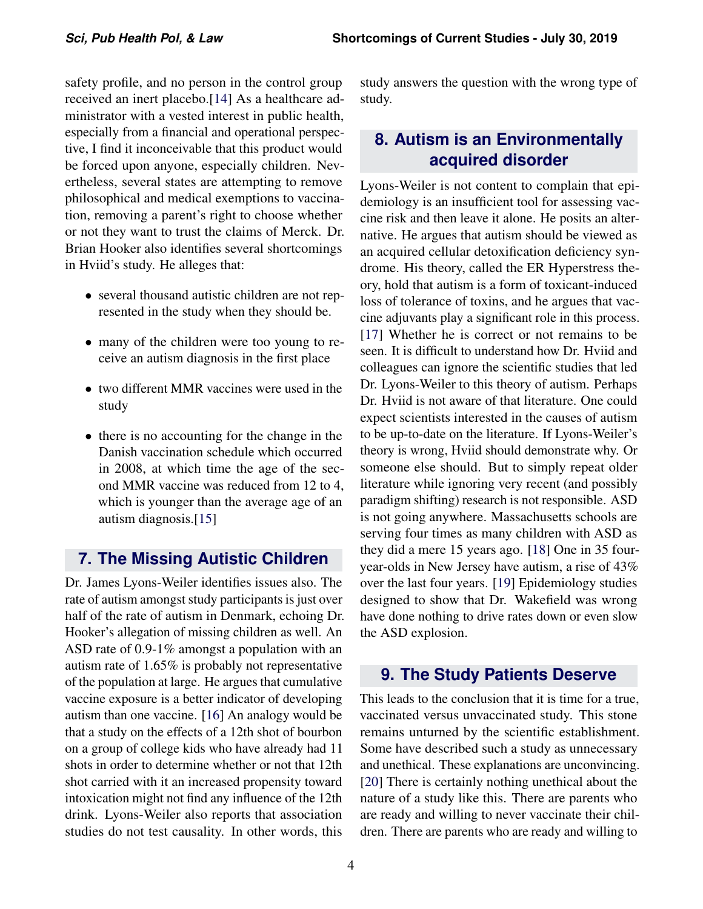safety profile, and no person in the control group received an inert placebo.[\[14\]](#page-5-2) As a healthcare administrator with a vested interest in public health, especially from a financial and operational perspective, I find it inconceivable that this product would be forced upon anyone, especially children. Nevertheless, several states are attempting to remove philosophical and medical exemptions to vaccination, removing a parent's right to choose whether or not they want to trust the claims of Merck. Dr. Brian Hooker also identifies several shortcomings in Hviid's study. He alleges that:

- several thousand autistic children are not represented in the study when they should be.
- many of the children were too young to receive an autism diagnosis in the first place
- two different MMR vaccines were used in the study
- there is no accounting for the change in the Danish vaccination schedule which occurred in 2008, at which time the age of the second MMR vaccine was reduced from 12 to 4, which is younger than the average age of an autism diagnosis.[\[15\]](#page-5-3)

#### <span id="page-3-0"></span>**7. The Missing Autistic Children**

Dr. James Lyons-Weiler identifies issues also. The rate of autism amongst study participants is just over half of the rate of autism in Denmark, echoing Dr. Hooker's allegation of missing children as well. An ASD rate of 0.9-1% amongst a population with an autism rate of 1.65% is probably not representative of the population at large. He argues that cumulative vaccine exposure is a better indicator of developing autism than one vaccine. [\[16\]](#page-5-4) An analogy would be that a study on the effects of a 12th shot of bourbon on a group of college kids who have already had 11 shots in order to determine whether or not that 12th shot carried with it an increased propensity toward intoxication might not find any influence of the 12th drink. Lyons-Weiler also reports that association studies do not test causality. In other words, this

study answers the question with the wrong type of study.

## <span id="page-3-1"></span>**8. Autism is an Environmentally acquired disorder**

Lyons-Weiler is not content to complain that epidemiology is an insufficient tool for assessing vaccine risk and then leave it alone. He posits an alternative. He argues that autism should be viewed as an acquired cellular detoxification deficiency syndrome. His theory, called the ER Hyperstress theory, hold that autism is a form of toxicant-induced loss of tolerance of toxins, and he argues that vaccine adjuvants play a significant role in this process. [\[17\]](#page-5-5) Whether he is correct or not remains to be seen. It is difficult to understand how Dr. Hviid and colleagues can ignore the scientific studies that led Dr. Lyons-Weiler to this theory of autism. Perhaps Dr. Hviid is not aware of that literature. One could expect scientists interested in the causes of autism to be up-to-date on the literature. If Lyons-Weiler's theory is wrong, Hviid should demonstrate why. Or someone else should. But to simply repeat older literature while ignoring very recent (and possibly paradigm shifting) research is not responsible. ASD is not going anywhere. Massachusetts schools are serving four times as many children with ASD as they did a mere 15 years ago. [\[18\]](#page-5-6) One in 35 fouryear-olds in New Jersey have autism, a rise of 43% over the last four years. [\[19\]](#page-5-7) Epidemiology studies designed to show that Dr. Wakefield was wrong have done nothing to drive rates down or even slow the ASD explosion.

### <span id="page-3-2"></span>**9. The Study Patients Deserve**

This leads to the conclusion that it is time for a true, vaccinated versus unvaccinated study. This stone remains unturned by the scientific establishment. Some have described such a study as unnecessary and unethical. These explanations are unconvincing. [\[20\]](#page-5-8) There is certainly nothing unethical about the nature of a study like this. There are parents who are ready and willing to never vaccinate their children. There are parents who are ready and willing to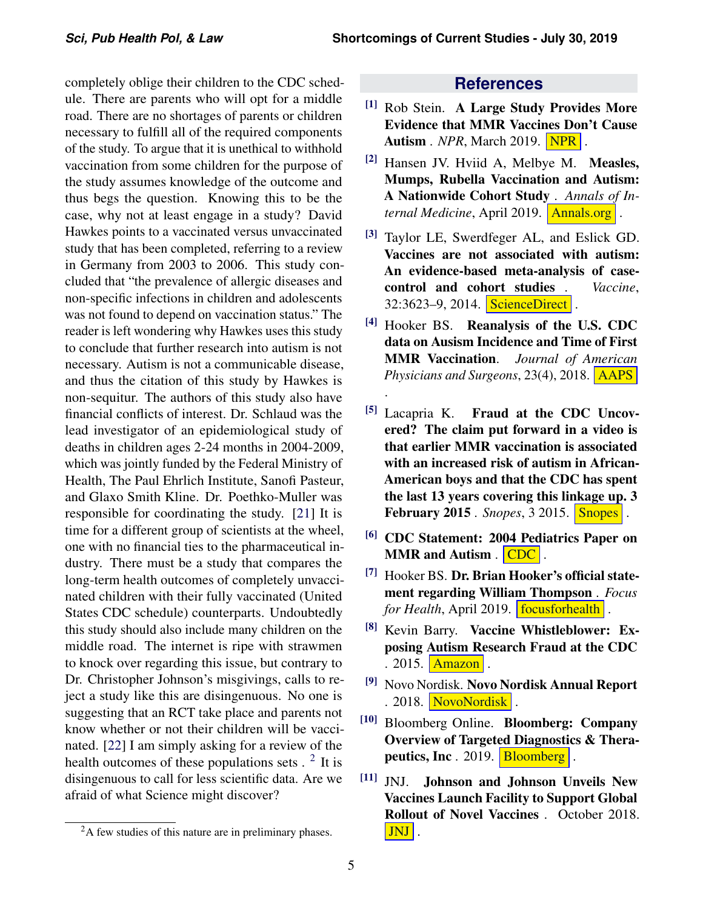completely oblige their children to the CDC schedule. There are parents who will opt for a middle road. There are no shortages of parents or children necessary to fulfill all of the required components of the study. To argue that it is unethical to withhold vaccination from some children for the purpose of the study assumes knowledge of the outcome and thus begs the question. Knowing this to be the case, why not at least engage in a study? David Hawkes points to a vaccinated versus unvaccinated study that has been completed, referring to a review in Germany from 2003 to 2006. This study concluded that "the prevalence of allergic diseases and non-specific infections in children and adolescents was not found to depend on vaccination status." The reader is left wondering why Hawkes uses this study to conclude that further research into autism is not necessary. Autism is not a communicable disease, and thus the citation of this study by Hawkes is non-sequitur. The authors of this study also have financial conflicts of interest. Dr. Schlaud was the lead investigator of an epidemiological study of deaths in children ages 2-24 months in 2004-2009, which was jointly funded by the Federal Ministry of Health, The Paul Ehrlich Institute, Sanofi Pasteur, and Glaxo Smith Kline. Dr. Poethko-Muller was responsible for coordinating the study. [\[21\]](#page-5-9) It is time for a different group of scientists at the wheel, one with no financial ties to the pharmaceutical industry. There must be a study that compares the long-term health outcomes of completely unvaccinated children with their fully vaccinated (United States CDC schedule) counterparts. Undoubtedly this study should also include many children on the middle road. The internet is ripe with strawmen to knock over regarding this issue, but contrary to Dr. Christopher Johnson's misgivings, calls to reject a study like this are disingenuous. No one is suggesting that an RCT take place and parents not know whether or not their children will be vaccinated. [\[22\]](#page-5-10) I am simply asking for a review of the health outcomes of these populations sets  $. 2$  $. 2$  It is disingenuous to call for less scientific data. Are we afraid of what Science might discover?

#### **References**

- <span id="page-4-0"></span>[1] Rob Stein. A Large Study Provides More Evidence that MMR Vaccines Don't Cause **Autism** . *[NPR]( https://www.npr.org/sections/health-shots/2019/03/04/699997613/a-large-study-provides-more-evidence-that-mmr-vaccines-dont-cause-autism )*, March 2019. **NPR**.
- <span id="page-4-1"></span> $[2]$  Hansen JV. Hviid A, Melbye M. Measles, Mumps, Rubella Vaccination and Autism: A Nationwide Cohort Study . *Annals of Internal Medicine*, April 2019. **[Annals.org]( https://annals.org/aim/fullarticle/2727726/measles-mumps-rubella-vaccination-autism-nationwide-cohort-study )**.
- <span id="page-4-2"></span>[3] Taylor LE, Swerdfeger AL, and Eslick GD. Vaccines are not associated with autism: An evidence-based meta-analysis of casecontrol and cohort studies . *Vaccine*, 32:3623-9, 2014. **[ScienceDirect]( https://www.sciencedirect.com/science/article/pii/S0264410X14006367?via%3Dihub )** .
- <span id="page-4-3"></span>[4] Hooker BS. Reanalysis of the U.S. CDC data on Ausism Incidence and Time of First MMR Vaccination. *Journal of American Physicians and Surgeons*, 23(4), 2018. [AAPS]( http://www.jpands.org/vol23no4/hooker.pdf )

[.]( http://www.jpands.org/vol23no4/hooker.pdf )

- <span id="page-4-4"></span>[5] Lacapria K. Fraud at the CDC Uncovered? The claim put forward in a video is that earlier MMR vaccination is associated with an increased risk of autism in African-American boys and that the CDC has spent the last 13 years covering this linkage up. 3 **February 2015** . *[Snopes]( https://www.snopes.com/fact-check/bad-medicine/ )*, 3 2015. **Snopes**.
- <span id="page-4-5"></span>[6] CDC Statement: 2004 Pediatrics Paper on MMR and Autism .  $\overline{CDC}$  $\overline{CDC}$  $\overline{CDC}$ .
- <span id="page-4-6"></span><sup>[7]</sup> Hooker BS. **Dr. Brian Hooker's official state**ment regarding William Thompson . *Focus for Health*, April 2019. **[focusforhealth]( https://www.focusforhealth.org/dr-brian-hooker-statement-william-thompson/ ).**
- <span id="page-4-7"></span>[8] Kevin Barry. Vaccine Whistleblower: Exposing Autism Research Fraud at the CDC . 2015.  $|\text{Amaxon}|$ .
- <span id="page-4-8"></span>[9] Novo Nordisk. Novo Nordisk Annual Report . 2018. [NovoNordisk]( https://www.novonordisk.com/content/dam/Denmark/HQ/investors/irmaterial/annual_report/2019/NN-AR18_UK_Online.pdf ).
- <span id="page-4-9"></span>[10] Bloomberg Online. Bloomberg: Company Overview of Targeted Diagnostics & Therapeutics, Inc.  $2019.$  [Bloomberg]( https://www.bloomberg.com/research/stocks/private/snapshot.asp?privcapId=2213806 ).
- <span id="page-4-10"></span>[11] JNJ. Johnson and Johnson Unveils New Vaccines Launch Facility to Support Global Rollout of Novel Vaccines . October 2018. [JNJ]( https://www.jnj.com/johnson-johnson-unveils-new-vaccines-launch-facility-to-support-global-rollout-of-novel-vaccines ) .

<span id="page-4-11"></span><sup>&</sup>lt;sup>2</sup>A few studies of this nature are in preliminary phases.